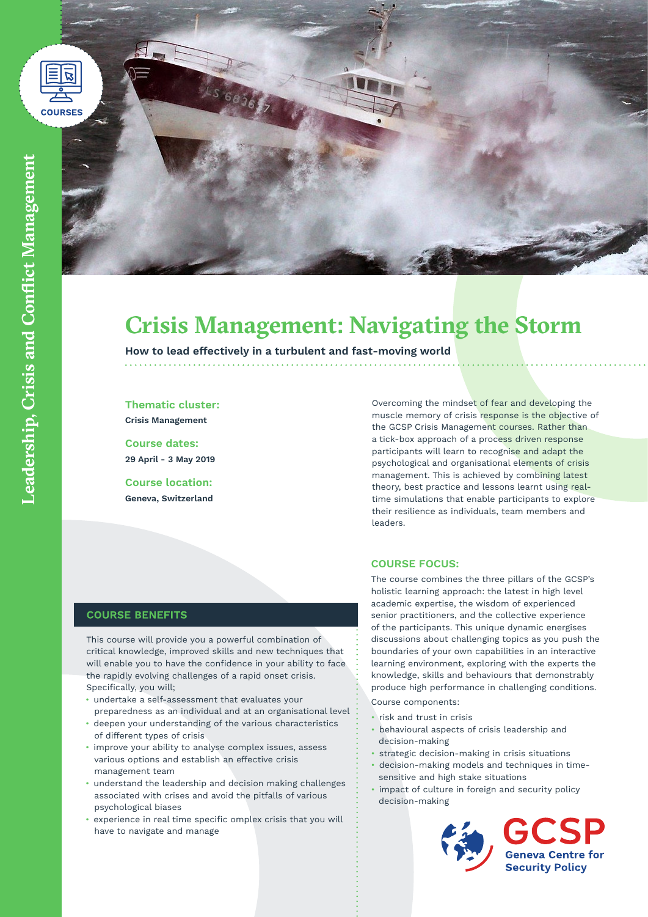



# **Crisis Management: Navigating the Storm**

**How to lead effectively in a turbulent and fast-moving world**

**Thematic cluster: Crisis Management**

**Course dates: 29 April - 3 May 2019**

**Course location: Geneva, Switzerland** Overcoming the mindset of fear and developing the muscle memory of crisis response is the objective of the GCSP Crisis Management courses. Rather than a tick-box approach of a process driven response participants will learn to recognise and adapt the psychological and organisational elements of crisis management. This is achieved by combining latest theory, best practice and lessons learnt using realtime simulations that enable participants to explore their resilience as individuals, team members and leaders.

### **COURSE FOCUS:**

The course combines the three pillars of the GCSP's holistic learning approach: the latest in high level academic expertise, the wisdom of experienced senior practitioners, and the collective experience of the participants. This unique dynamic energises discussions about challenging topics as you push the boundaries of your own capabilities in an interactive learning environment, exploring with the experts the knowledge, skills and behaviours that demonstrably produce high performance in challenging conditions.

Course components:

- risk and trust in crisis
- behavioural aspects of crisis leadership and decision-making
- strategic decision-making in crisis situations
- decision-making models and techniques in timesensitive and high stake situations
- impact of culture in foreign and security policy decision-making



**Geneva Centre for Security Policy** 

# **COURSE BENEFITS**

This course will provide you a powerful combination of critical knowledge, improved skills and new techniques that will enable you to have the confidence in your ability to face the rapidly evolving challenges of a rapid onset crisis. Specifically, you will;

- undertake a self-assessment that evaluates your preparedness as an individual and at an organisational level
- deepen your understanding of the various characteristics of different types of crisis
- improve your ability to analyse complex issues, assess various options and establish an effective crisis management team
- understand the leadership and decision making challenges associated with crises and avoid the pitfalls of various psychological biases
- experience in real time specific omplex crisis that you will have to navigate and manage